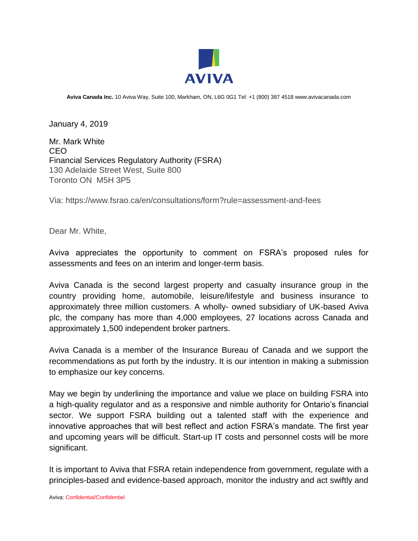

**Aviva Canada Inc.** 10 Aviva Way, Suite 100, Markham, ON, L6G 0G1 Tel: +1 (800) 387 4518 www.avivacanada.com

January 4, 2019

Mr. Mark White CEO Financial Services Regulatory Authority (FSRA) 130 Adelaide Street West, Suite 800 Toronto ON M5H 3P5

Via: https://www.fsrao.ca/en/consultations/form?rule=assessment-and-fees

Dear Mr. White,

Aviva appreciates the opportunity to comment on FSRA's proposed rules for assessments and fees on an interim and longer-term basis.

Aviva Canada is the second largest property and casualty insurance group in the country providing home, automobile, leisure/lifestyle and business insurance to approximately three million customers. A wholly- owned subsidiary of UK-based Aviva plc, the company has more than 4,000 employees, 27 locations across Canada and approximately 1,500 independent broker partners.

Aviva Canada is a member of the Insurance Bureau of Canada and we support the recommendations as put forth by the industry. It is our intention in making a submission to emphasize our key concerns.

May we begin by underlining the importance and value we place on building FSRA into a high-quality regulator and as a responsive and nimble authority for Ontario's financial sector. We support FSRA building out a talented staff with the experience and innovative approaches that will best reflect and action FSRA's mandate. The first year and upcoming years will be difficult. Start-up IT costs and personnel costs will be more significant.

It is important to Aviva that FSRA retain independence from government, regulate with a principles-based and evidence-based approach, monitor the industry and act swiftly and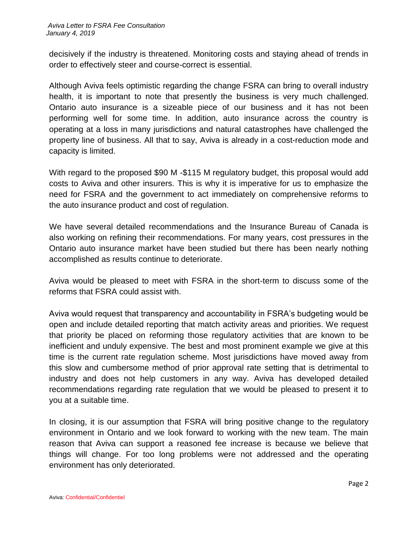decisively if the industry is threatened. Monitoring costs and staying ahead of trends in order to effectively steer and course-correct is essential.

Although Aviva feels optimistic regarding the change FSRA can bring to overall industry health, it is important to note that presently the business is very much challenged. Ontario auto insurance is a sizeable piece of our business and it has not been performing well for some time. In addition, auto insurance across the country is operating at a loss in many jurisdictions and natural catastrophes have challenged the property line of business. All that to say, Aviva is already in a cost-reduction mode and capacity is limited.

With regard to the proposed \$90 M -\$115 M regulatory budget, this proposal would add costs to Aviva and other insurers. This is why it is imperative for us to emphasize the need for FSRA and the government to act immediately on comprehensive reforms to the auto insurance product and cost of regulation.

We have several detailed recommendations and the Insurance Bureau of Canada is also working on refining their recommendations. For many years, cost pressures in the Ontario auto insurance market have been studied but there has been nearly nothing accomplished as results continue to deteriorate.

Aviva would be pleased to meet with FSRA in the short-term to discuss some of the reforms that FSRA could assist with.

Aviva would request that transparency and accountability in FSRA's budgeting would be open and include detailed reporting that match activity areas and priorities. We request that priority be placed on reforming those regulatory activities that are known to be inefficient and unduly expensive. The best and most prominent example we give at this time is the current rate regulation scheme. Most jurisdictions have moved away from this slow and cumbersome method of prior approval rate setting that is detrimental to industry and does not help customers in any way. Aviva has developed detailed recommendations regarding rate regulation that we would be pleased to present it to you at a suitable time.

In closing, it is our assumption that FSRA will bring positive change to the regulatory environment in Ontario and we look forward to working with the new team. The main reason that Aviva can support a reasoned fee increase is because we believe that things will change. For too long problems were not addressed and the operating environment has only deteriorated.